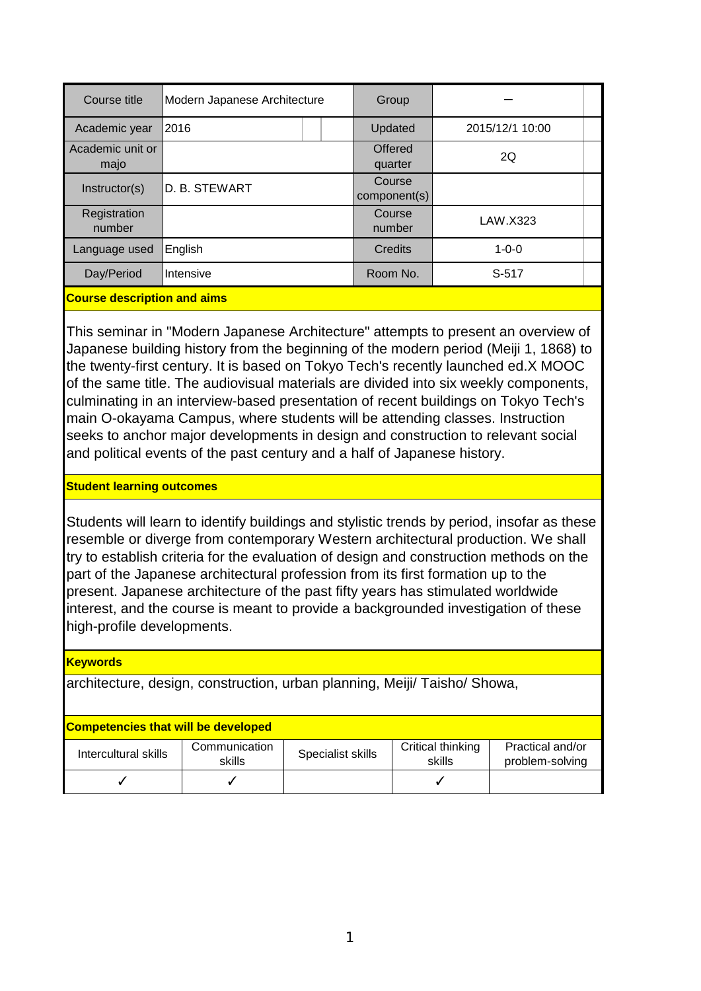| Course title                                                 | Modern Japanese Architecture |  | Group                     |                 |  |  |
|--------------------------------------------------------------|------------------------------|--|---------------------------|-----------------|--|--|
| Academic year                                                | 2016                         |  | Updated                   | 2015/12/1 10:00 |  |  |
| Academic unit or<br>majo                                     |                              |  | <b>Offered</b><br>quarter | 2Q              |  |  |
| Instructor(s)                                                | D. B. STEWART                |  | Course<br>component(s)    |                 |  |  |
| Registration<br>number                                       |                              |  | Course<br>number          | LAW.X323        |  |  |
| Language used                                                | English                      |  | Credits                   | $1 - 0 - 0$     |  |  |
| Day/Period                                                   | Intensive                    |  | Room No.                  | S-517           |  |  |
| <b>Comment of the second continued by the second control</b> |                              |  |                           |                 |  |  |

## **Course description and aims**

This seminar in "Modern Japanese Architecture" attempts to present an overview of Japanese building history from the beginning of the modern period (Meiji 1, 1868) to the twenty-first century. It is based on Tokyo Tech's recently launched ed.X MOOC of the same title. The audiovisual materials are divided into six weekly components, culminating in an interview-based presentation of recent buildings on Tokyo Tech's main O-okayama Campus, where students will be attending classes. Instruction seeks to anchor major developments in design and construction to relevant social and political events of the past century and a half of Japanese history.

## **Student learning outcomes**

Students will learn to identify buildings and stylistic trends by period, insofar as these resemble or diverge from contemporary Western architectural production. We shall try to establish criteria for the evaluation of design and construction methods on the part of the Japanese architectural profession from its first formation up to the present. Japanese architecture of the past fifty years has stimulated worldwide interest, and the course is meant to provide a backgrounded investigation of these high-profile developments.

## **Keywords**

architecture, design, construction, urban planning, Meiji/ Taisho/ Showa,

## **Competencies that will be developed**

| Intercultural skills | Communication<br>skills | Specialist skills | Critical thinking<br>skills | Practical and/or<br>problem-solving |
|----------------------|-------------------------|-------------------|-----------------------------|-------------------------------------|
|                      |                         |                   |                             |                                     |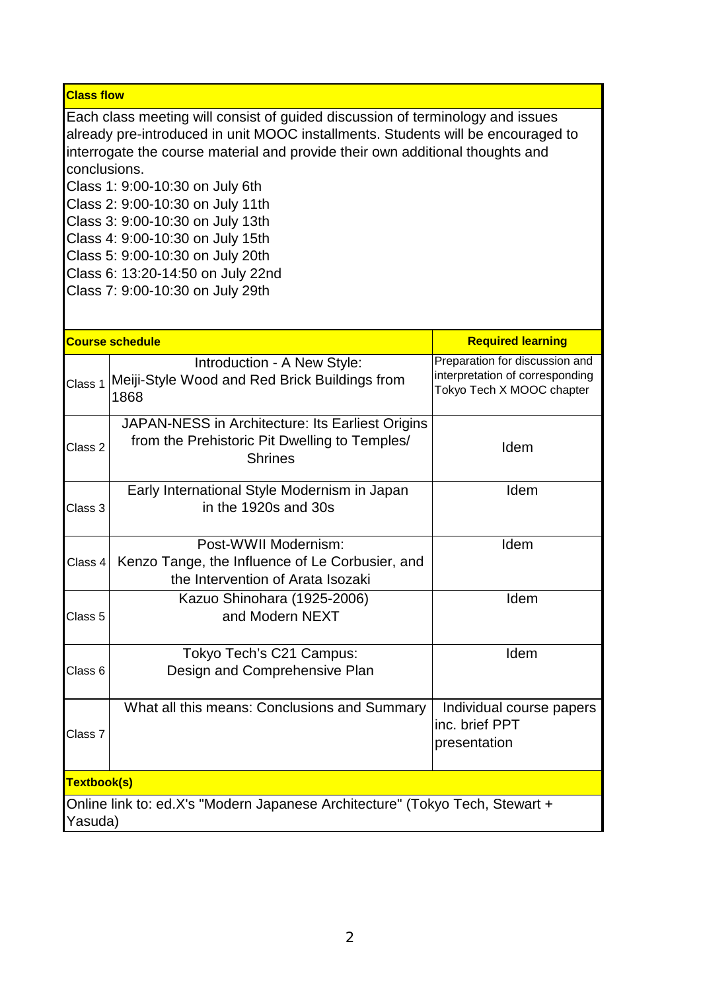**Class flow**

Each class meeting will consist of guided discussion of terminology and issues already pre-introduced in unit MOOC installments. Students will be encouraged to interrogate the course material and provide their own additional thoughts and conclusions.

Class 1: 9:00-10:30 on July 6th

Class 2: 9:00-10:30 on July 11th

Class 3: 9:00-10:30 on July 13th

Class 4: 9:00-10:30 on July 15th

Class 5: 9:00-10:30 on July 20th

- Class 6: 13:20-14:50 on July 22nd Class 7: 9:00-10:30 on July 29th
- **Course schedule** Class 4 Post-WWII Modernism: Kenzo Tange, the Influence of Le Corbusier, and the Intervention of Arata Isozaki Idem Class 5 Kazuo Shinohara (1925-2006) and Modern NEXT Idem Class 7 What all this means: Conclusions and Summary  $\vert$  Individual course papers inc. brief PPT presentation **Textbook(s)** Online link to: ed.X's "Modern Japanese Architecture" (Tokyo Tech, Stewart + Yasuda) Class 6 Class 3 Early International Style Modernism in Japan in the 1920s and 30s Idem Preparation for discussion and interpretation of corresponding Tokyo Tech X MOOC chapter Introduction - A New Style:  $_{\rm Class~1}$  Meiji-Style Wood and Red Brick Buildings from 1868 **Required learning** Class 2 JAPAN-NESS in Architecture: Its Earliest Origins from the Prehistoric Pit Dwelling to Temples/ **Shrines** Idem Tokyo Tech's C21 Campus: Design and Comprehensive Plan Idem